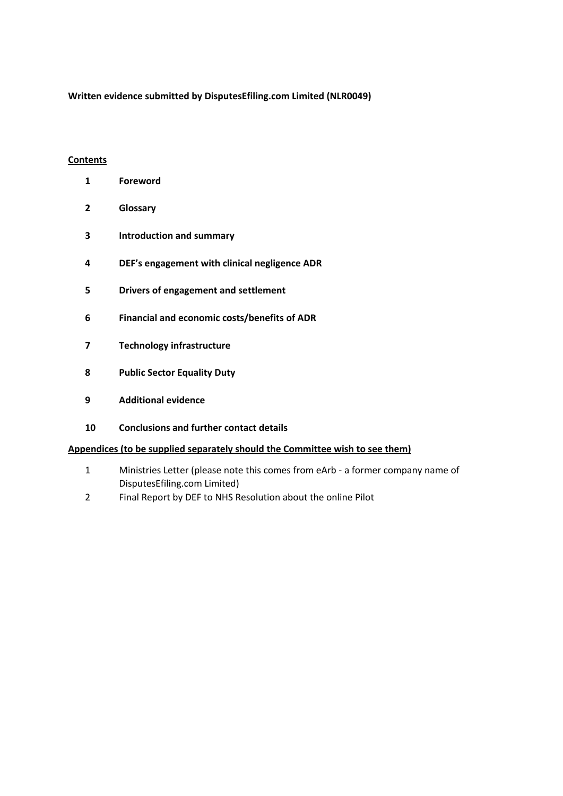**Written evidence submitted by DisputesEfiling.com Limited (NLR0049)**

### **Contents**

- **Foreword**
- **Glossary**
- **Introduction and summary**
- **DEF's engagement with clinical negligence ADR**
- **Drivers of engagement and settlement**
- **Financial and economic costs/benefits of ADR**
- **Technology infrastructure**
- **Public Sector Equality Duty**
- **Additional evidence**
- **Conclusions and further contact details**

#### **Appendices (to be supplied separately should the Committee wish to see them)**

- Ministries Letter (please note this comes from eArb a former company name of DisputesEfiling.com Limited)
- Final Report by DEF to NHS Resolution about the online Pilot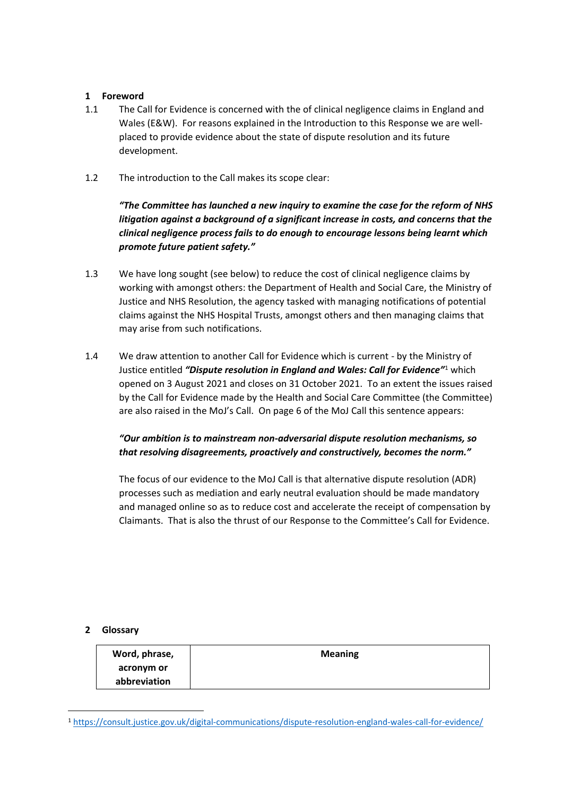## **1 Foreword**

- 1.1 The Call for Evidence is concerned with the of clinical negligence claims in England and Wales (E&W). For reasons explained in the Introduction to this Response we are wellplaced to provide evidence about the state of dispute resolution and its future development.
- 1.2 The introduction to the Call makes its scope clear:

*"The Committee has launched a new inquiry to examine the case for the reform of NHS litigation against a background of a significant increase in costs, and concerns that the clinical negligence process fails to do enough to encourage lessons being learnt which promote future patient safety."*

- 1.3 We have long sought (see below) to reduce the cost of clinical negligence claims by working with amongst others: the Department of Health and Social Care, the Ministry of Justice and NHS Resolution, the agency tasked with managing notifications of potential claims against the NHS Hospital Trusts, amongst others and then managing claims that may arise from such notifications.
- 1.4 We draw attention to another Call for Evidence which is current by the Ministry of Justice entitled *"Dispute resolution in England and Wales: Call for Evidence"*<sup>1</sup> which opened on 3 August 2021 and closes on 31 October 2021. To an extent the issues raised by the Call for Evidence made by the Health and Social Care Committee (the Committee) are also raised in the MoJ's Call. On page 6 of the MoJ Call this sentence appears:

# *"Our ambition is to mainstream non-adversarial dispute resolution mechanisms, so that resolving disagreements, proactively and constructively, becomes the norm."*

The focus of our evidence to the MoJ Call is that alternative dispute resolution (ADR) processes such as mediation and early neutral evaluation should be made mandatory and managed online so as to reduce cost and accelerate the receipt of compensation by Claimants. That is also the thrust of our Response to the Committee's Call for Evidence.

#### **2 Glossary**

| Word, phrase, | <b>Meaning</b> |
|---------------|----------------|
| acronym or    |                |
| abbreviation  |                |

<sup>1</sup> <https://consult.justice.gov.uk/digital-communications/dispute-resolution-england-wales-call-for-evidence/>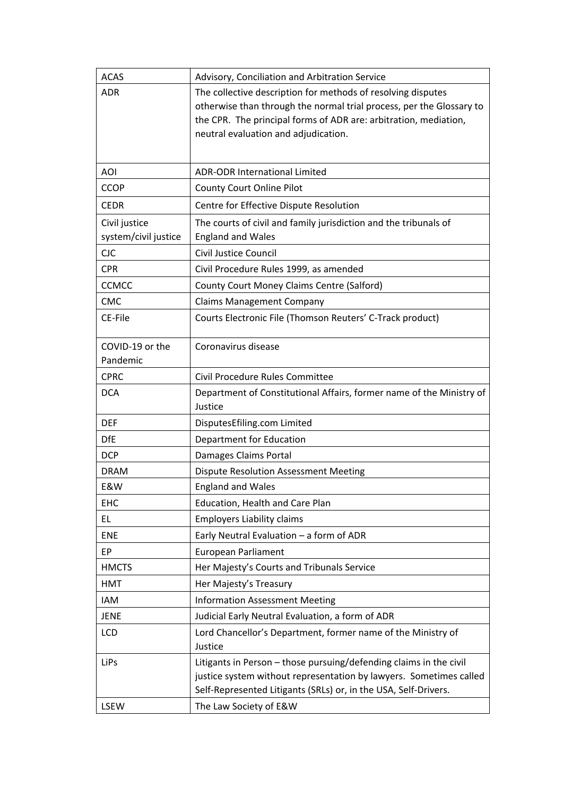| <b>ACAS</b>                 | Advisory, Conciliation and Arbitration Service                       |  |
|-----------------------------|----------------------------------------------------------------------|--|
| <b>ADR</b>                  | The collective description for methods of resolving disputes         |  |
|                             | otherwise than through the normal trial process, per the Glossary to |  |
|                             | the CPR. The principal forms of ADR are: arbitration, mediation,     |  |
|                             | neutral evaluation and adjudication.                                 |  |
|                             |                                                                      |  |
| <b>AOI</b>                  | <b>ADR-ODR International Limited</b>                                 |  |
| <b>CCOP</b>                 | County Court Online Pilot                                            |  |
| <b>CEDR</b>                 | Centre for Effective Dispute Resolution                              |  |
| Civil justice               | The courts of civil and family jurisdiction and the tribunals of     |  |
| system/civil justice        | <b>England and Wales</b>                                             |  |
| <b>CJC</b>                  | Civil Justice Council                                                |  |
| <b>CPR</b>                  | Civil Procedure Rules 1999, as amended                               |  |
| <b>CCMCC</b>                | County Court Money Claims Centre (Salford)                           |  |
| <b>CMC</b>                  | <b>Claims Management Company</b>                                     |  |
| CE-File                     | Courts Electronic File (Thomson Reuters' C-Track product)            |  |
|                             |                                                                      |  |
| COVID-19 or the<br>Pandemic | Coronavirus disease                                                  |  |
| <b>CPRC</b>                 | Civil Procedure Rules Committee                                      |  |
| <b>DCA</b>                  | Department of Constitutional Affairs, former name of the Ministry of |  |
|                             | Justice                                                              |  |
| <b>DEF</b>                  | DisputesEfiling.com Limited                                          |  |
| <b>DfE</b>                  | Department for Education                                             |  |
| <b>DCP</b>                  | Damages Claims Portal                                                |  |
| <b>DRAM</b>                 | <b>Dispute Resolution Assessment Meeting</b>                         |  |
| E&W                         | <b>England and Wales</b>                                             |  |
| EHC                         | Education, Health and Care Plan                                      |  |
| EL                          | <b>Employers Liability claims</b>                                    |  |
| <b>ENE</b>                  | Early Neutral Evaluation - a form of ADR                             |  |
| EP                          | <b>European Parliament</b>                                           |  |
| <b>HMCTS</b>                | Her Majesty's Courts and Tribunals Service                           |  |
| <b>HMT</b>                  | Her Majesty's Treasury                                               |  |
| <b>IAM</b>                  | <b>Information Assessment Meeting</b>                                |  |
| <b>JENE</b>                 | Judicial Early Neutral Evaluation, a form of ADR                     |  |
| LCD                         | Lord Chancellor's Department, former name of the Ministry of         |  |
|                             | Justice                                                              |  |
| LiPs                        | Litigants in Person - those pursuing/defending claims in the civil   |  |
|                             | justice system without representation by lawyers. Sometimes called   |  |
|                             | Self-Represented Litigants (SRLs) or, in the USA, Self-Drivers.      |  |
| LSEW                        | The Law Society of E&W                                               |  |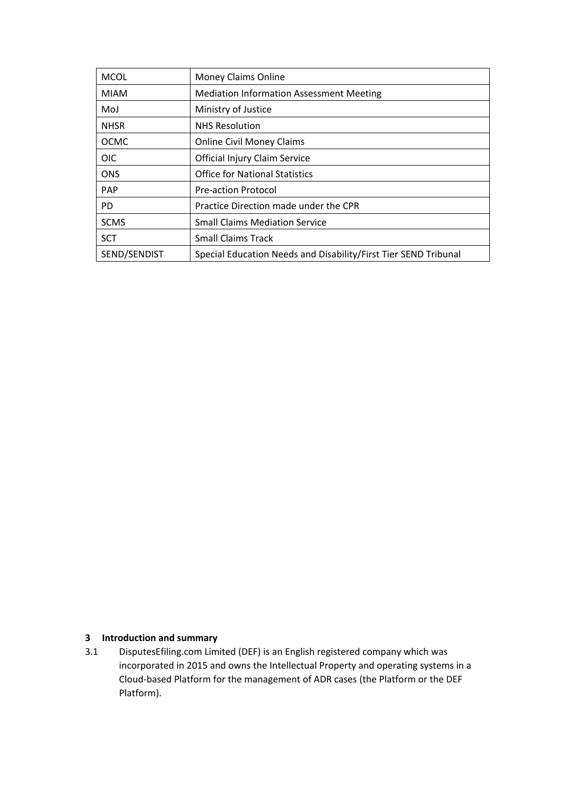| <b>MCOL</b>  | Money Claims Online                                             |  |
|--------------|-----------------------------------------------------------------|--|
| <b>MIAM</b>  | <b>Mediation Information Assessment Meeting</b>                 |  |
| MoJ          | Ministry of Justice                                             |  |
| <b>NHSR</b>  | <b>NHS Resolution</b>                                           |  |
| <b>OCMC</b>  | <b>Online Civil Money Claims</b>                                |  |
| <b>OIC</b>   | Official Injury Claim Service                                   |  |
| <b>ONS</b>   | <b>Office for National Statistics</b>                           |  |
| PAP          | <b>Pre-action Protocol</b>                                      |  |
| PD.          | Practice Direction made under the CPR                           |  |
| <b>SCMS</b>  | <b>Small Claims Mediation Service</b>                           |  |
| <b>SCT</b>   | <b>Small Claims Track</b>                                       |  |
| SEND/SENDIST | Special Education Needs and Disability/First Tier SEND Tribunal |  |

## **3 Introduction and summary**

3.1 DisputesEfiling.com Limited (DEF) is an English registered company which was incorporated in 2015 and owns the Intellectual Property and operating systems in a Cloud-based Platform for the management of ADR cases (the Platform or the DEF Platform).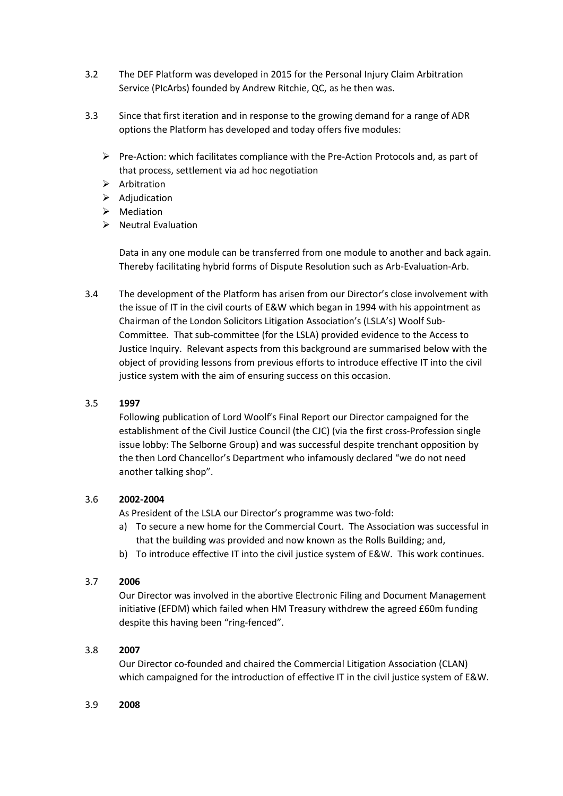- 3.2 The DEF Platform was developed in 2015 for the Personal Injury Claim Arbitration Service (PIcArbs) founded by Andrew Ritchie, QC, as he then was.
- 3.3 Since that first iteration and in response to the growing demand for a range of ADR options the Platform has developed and today offers five modules:
	- $\triangleright$  Pre-Action: which facilitates compliance with the Pre-Action Protocols and, as part of that process, settlement via ad hoc negotiation
	- $\triangleright$  Arbitration
	- $\triangleright$  Adjudication
	- $\triangleright$  Mediation
	- $\triangleright$  Neutral Evaluation

Data in any one module can be transferred from one module to another and back again. Thereby facilitating hybrid forms of Dispute Resolution such as Arb-Evaluation-Arb.

3.4 The development of the Platform has arisen from our Director's close involvement with the issue of IT in the civil courts of E&W which began in 1994 with his appointment as Chairman of the London Solicitors Litigation Association's (LSLA's) Woolf Sub-Committee. That sub-committee (for the LSLA) provided evidence to the Access to Justice Inquiry. Relevant aspects from this background are summarised below with the object of providing lessons from previous efforts to introduce effective IT into the civil justice system with the aim of ensuring success on this occasion.

# 3.5 **1997**

Following publication of Lord Woolf's Final Report our Director campaigned for the establishment of the Civil Justice Council (the CJC) (via the first cross-Profession single issue lobby: The Selborne Group) and was successful despite trenchant opposition by the then Lord Chancellor's Department who infamously declared "we do not need another talking shop".

# 3.6 **2002-2004**

As President of the LSLA our Director's programme was two-fold:

- a) To secure a new home for the Commercial Court. The Association was successful in that the building was provided and now known as the Rolls Building; and,
- b) To introduce effective IT into the civil justice system of E&W. This work continues.

# 3.7 **2006**

Our Director was involved in the abortive Electronic Filing and Document Management initiative (EFDM) which failed when HM Treasury withdrew the agreed £60m funding despite this having been "ring-fenced".

# 3.8 **2007**

Our Director co-founded and chaired the Commercial Litigation Association (CLAN) which campaigned for the introduction of effective IT in the civil justice system of E&W.

#### 3.9 **2008**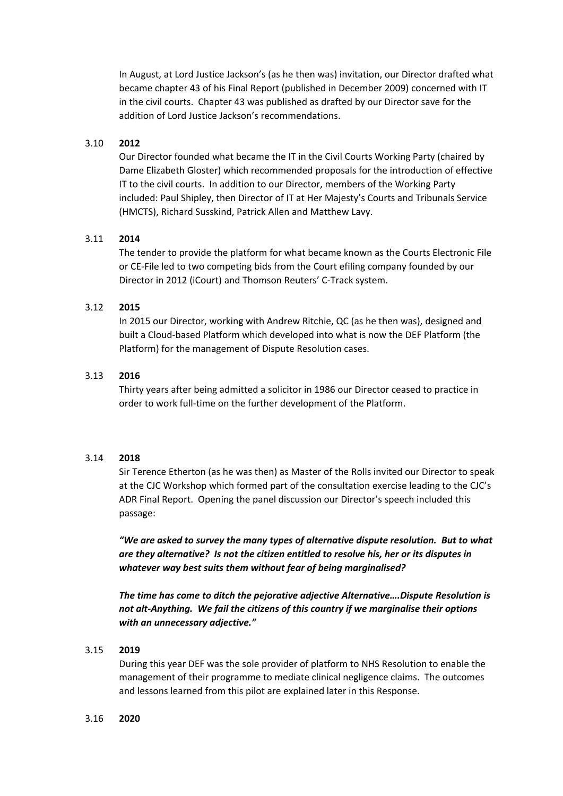In August, at Lord Justice Jackson's (as he then was) invitation, our Director drafted what became chapter 43 of his Final Report (published in December 2009) concerned with IT in the civil courts. Chapter 43 was published as drafted by our Director save for the addition of Lord Justice Jackson's recommendations.

#### 3.10 **2012**

Our Director founded what became the IT in the Civil Courts Working Party (chaired by Dame Elizabeth Gloster) which recommended proposals for the introduction of effective IT to the civil courts. In addition to our Director, members of the Working Party included: Paul Shipley, then Director of IT at Her Majesty's Courts and Tribunals Service (HMCTS), Richard Susskind, Patrick Allen and Matthew Lavy.

#### 3.11 **2014**

The tender to provide the platform for what became known as the Courts Electronic File or CE-File led to two competing bids from the Court efiling company founded by our Director in 2012 (iCourt) and Thomson Reuters' C-Track system.

#### 3.12 **2015**

In 2015 our Director, working with Andrew Ritchie, QC (as he then was), designed and built a Cloud-based Platform which developed into what is now the DEF Platform (the Platform) for the management of Dispute Resolution cases.

#### 3.13 **2016**

Thirty years after being admitted a solicitor in 1986 our Director ceased to practice in order to work full-time on the further development of the Platform.

#### 3.14 **2018**

Sir Terence Etherton (as he was then) as Master of the Rolls invited our Director to speak at the CJC Workshop which formed part of the consultation exercise leading to the CJC's ADR Final Report. Opening the panel discussion our Director's speech included this passage:

*"We are asked to survey the many types of alternative dispute resolution. But to what are they alternative? Is not the citizen entitled to resolve his, her or its disputes in whatever way best suits them without fear of being marginalised?* 

*The time has come to ditch the pejorative adjective Alternative….Dispute Resolution is not alt-Anything. We fail the citizens of this country if we marginalise their options with an unnecessary adjective."*

#### 3.15 **2019**

During this year DEF was the sole provider of platform to NHS Resolution to enable the management of their programme to mediate clinical negligence claims. The outcomes and lessons learned from this pilot are explained later in this Response.

#### 3.16 **2020**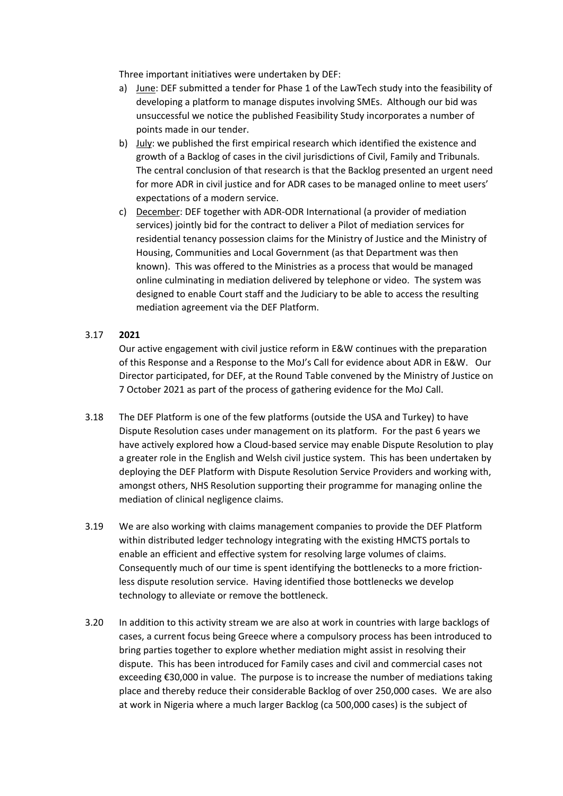Three important initiatives were undertaken by DEF:

- a) June: DEF submitted a tender for Phase 1 of the LawTech study into the feasibility of developing a platform to manage disputes involving SMEs. Although our bid was unsuccessful we notice the published Feasibility Study incorporates a number of points made in our tender.
- b) July: we published the first empirical research which identified the existence and growth of a Backlog of cases in the civil jurisdictions of Civil, Family and Tribunals. The central conclusion of that research is that the Backlog presented an urgent need for more ADR in civil justice and for ADR cases to be managed online to meet users' expectations of a modern service.
- c) December: DEF together with ADR-ODR International (a provider of mediation services) jointly bid for the contract to deliver a Pilot of mediation services for residential tenancy possession claims for the Ministry of Justice and the Ministry of Housing, Communities and Local Government (as that Department was then known). This was offered to the Ministries as a process that would be managed online culminating in mediation delivered by telephone or video. The system was designed to enable Court staff and the Judiciary to be able to access the resulting mediation agreement via the DEF Platform.

### 3.17 **2021**

Our active engagement with civil justice reform in E&W continues with the preparation of this Response and a Response to the MoJ's Call for evidence about ADR in E&W. Our Director participated, for DEF, at the Round Table convened by the Ministry of Justice on 7 October 2021 as part of the process of gathering evidence for the MoJ Call.

- 3.18 The DEF Platform is one of the few platforms (outside the USA and Turkey) to have Dispute Resolution cases under management on its platform. For the past 6 years we have actively explored how a Cloud-based service may enable Dispute Resolution to play a greater role in the English and Welsh civil justice system. This has been undertaken by deploying the DEF Platform with Dispute Resolution Service Providers and working with, amongst others, NHS Resolution supporting their programme for managing online the mediation of clinical negligence claims.
- 3.19 We are also working with claims management companies to provide the DEF Platform within distributed ledger technology integrating with the existing HMCTS portals to enable an efficient and effective system for resolving large volumes of claims. Consequently much of our time is spent identifying the bottlenecks to a more frictionless dispute resolution service. Having identified those bottlenecks we develop technology to alleviate or remove the bottleneck.
- 3.20 In addition to this activity stream we are also at work in countries with large backlogs of cases, a current focus being Greece where a compulsory process has been introduced to bring parties together to explore whether mediation might assist in resolving their dispute. This has been introduced for Family cases and civil and commercial cases not exceeding €30,000 in value. The purpose is to increase the number of mediations taking place and thereby reduce their considerable Backlog of over 250,000 cases. We are also at work in Nigeria where a much larger Backlog (ca 500,000 cases) is the subject of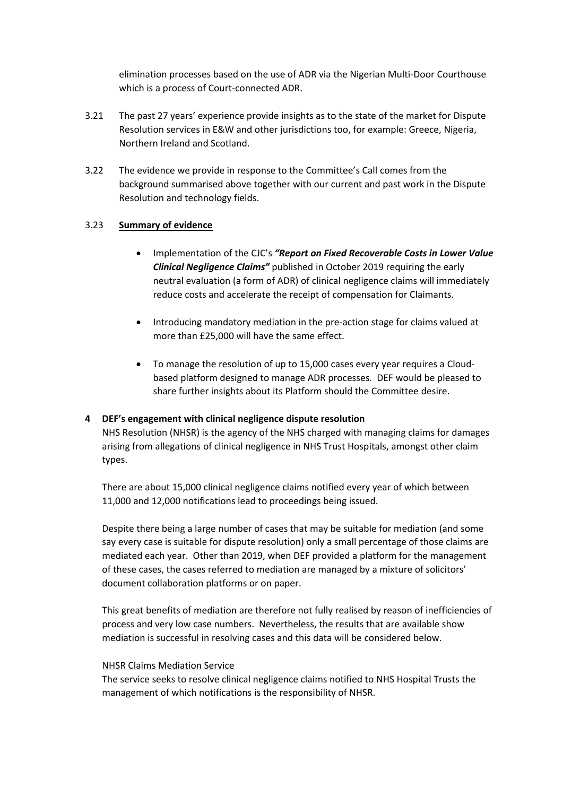elimination processes based on the use of ADR via the Nigerian Multi-Door Courthouse which is a process of Court-connected ADR.

- 3.21 The past 27 years' experience provide insights as to the state of the market for Dispute Resolution services in E&W and other jurisdictions too, for example: Greece, Nigeria, Northern Ireland and Scotland.
- 3.22 The evidence we provide in response to the Committee's Call comes from the background summarised above together with our current and past work in the Dispute Resolution and technology fields.

### 3.23 **Summary of evidence**

- Implementation of the CJC's *"Report on Fixed Recoverable Costs in Lower Value Clinical Negligence Claims"* published in October 2019 requiring the early neutral evaluation (a form of ADR) of clinical negligence claims will immediately reduce costs and accelerate the receipt of compensation for Claimants.
- Introducing mandatory mediation in the pre-action stage for claims valued at more than £25,000 will have the same effect.
- To manage the resolution of up to 15,000 cases every year requires a Cloudbased platform designed to manage ADR processes. DEF would be pleased to share further insights about its Platform should the Committee desire.

#### **4 DEF's engagement with clinical negligence dispute resolution**

NHS Resolution (NHSR) is the agency of the NHS charged with managing claims for damages arising from allegations of clinical negligence in NHS Trust Hospitals, amongst other claim types.

There are about 15,000 clinical negligence claims notified every year of which between 11,000 and 12,000 notifications lead to proceedings being issued.

Despite there being a large number of cases that may be suitable for mediation (and some say every case is suitable for dispute resolution) only a small percentage of those claims are mediated each year. Other than 2019, when DEF provided a platform for the management of these cases, the cases referred to mediation are managed by a mixture of solicitors' document collaboration platforms or on paper.

This great benefits of mediation are therefore not fully realised by reason of inefficiencies of process and very low case numbers. Nevertheless, the results that are available show mediation is successful in resolving cases and this data will be considered below.

#### NHSR Claims Mediation Service

The service seeks to resolve clinical negligence claims notified to NHS Hospital Trusts the management of which notifications is the responsibility of NHSR.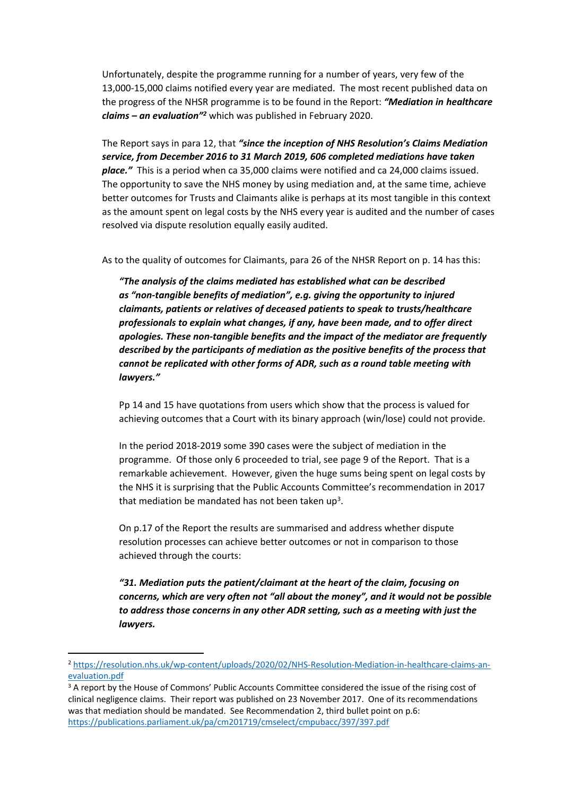Unfortunately, despite the programme running for a number of years, very few of the 13,000-15,000 claims notified every year are mediated. The most recent published data on the progress of the NHSR programme is to be found in the Report: *"Mediation in healthcare claims – an evaluation"<sup>2</sup>* which was published in February 2020.

The Report says in para 12, that *"since the inception of NHS Resolution's Claims Mediation service, from December 2016 to 31 March 2019, 606 completed mediations have taken place."* This is a period when ca 35,000 claims were notified and ca 24,000 claims issued. The opportunity to save the NHS money by using mediation and, at the same time, achieve better outcomes for Trusts and Claimants alike is perhaps at its most tangible in this context as the amount spent on legal costs by the NHS every year is audited and the number of cases resolved via dispute resolution equally easily audited.

As to the quality of outcomes for Claimants, para 26 of the NHSR Report on p. 14 has this:

*"The analysis of the claims mediated has established what can be described as "non-tangible benefits of mediation", e.g. giving the opportunity to injured claimants, patients or relatives of deceased patients to speak to trusts/healthcare professionals to explain what changes, if any, have been made, and to offer direct apologies. These non-tangible benefits and the impact of the mediator are frequently described by the participants of mediation as the positive benefits of the process that cannot be replicated with other forms of ADR, such as a round table meeting with lawyers."*

Pp 14 and 15 have quotations from users which show that the process is valued for achieving outcomes that a Court with its binary approach (win/lose) could not provide.

In the period 2018-2019 some 390 cases were the subject of mediation in the programme. Of those only 6 proceeded to trial, see page 9 of the Report. That is a remarkable achievement. However, given the huge sums being spent on legal costs by the NHS it is surprising that the Public Accounts Committee's recommendation in 2017 that mediation be mandated has not been taken up<sup>3</sup>.

On p.17 of the Report the results are summarised and address whether dispute resolution processes can achieve better outcomes or not in comparison to those achieved through the courts:

*"31. Mediation puts the patient/claimant at the heart of the claim, focusing on concerns, which are very often not "all about the money", and it would not be possible to address those concerns in any other ADR setting, such as a meeting with just the lawyers.*

<sup>2</sup> [https://resolution.nhs.uk/wp-content/uploads/2020/02/NHS-Resolution-Mediation-in-healthcare-claims-an](https://resolution.nhs.uk/wp-content/uploads/2020/02/NHS-Resolution-Mediation-in-healthcare-claims-an-evaluation.pdf)[evaluation.pdf](https://resolution.nhs.uk/wp-content/uploads/2020/02/NHS-Resolution-Mediation-in-healthcare-claims-an-evaluation.pdf)

<sup>&</sup>lt;sup>3</sup> A report by the House of Commons' Public Accounts Committee considered the issue of the rising cost of clinical negligence claims. Their report was published on 23 November 2017. One of its recommendations was that mediation should be mandated. See Recommendation 2, third bullet point on p.6: <https://publications.parliament.uk/pa/cm201719/cmselect/cmpubacc/397/397.pdf>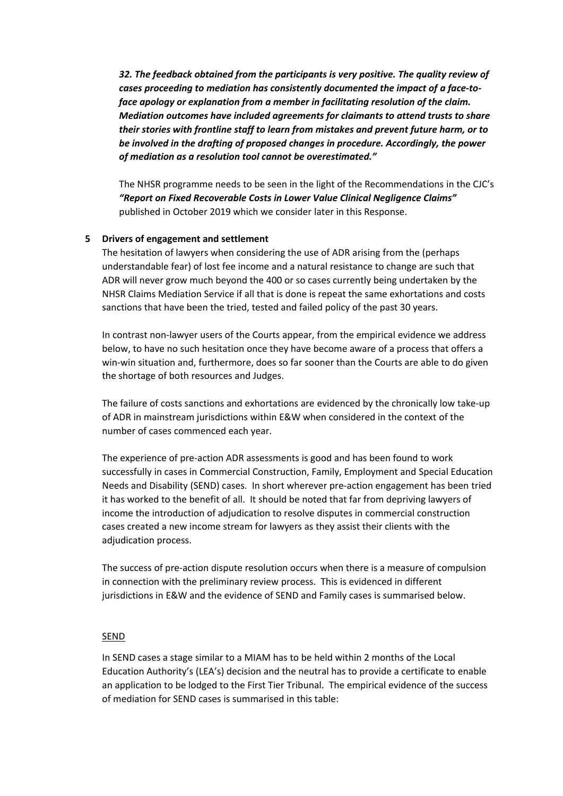*32. The feedback obtained from the participants is very positive. The quality review of cases proceeding to mediation has consistently documented the impact of a face-toface apology or explanation from a member in facilitating resolution of the claim. Mediation outcomes have included agreements for claimants to attend trusts to share their stories with frontline staff to learn from mistakes and prevent future harm, or to be involved in the drafting of proposed changes in procedure. Accordingly, the power of mediation as a resolution tool cannot be overestimated."*

The NHSR programme needs to be seen in the light of the Recommendations in the CJC's *"Report on Fixed Recoverable Costs in Lower Value Clinical Negligence Claims"* published in October 2019 which we consider later in this Response.

#### **5 Drivers of engagement and settlement**

The hesitation of lawyers when considering the use of ADR arising from the (perhaps understandable fear) of lost fee income and a natural resistance to change are such that ADR will never grow much beyond the 400 or so cases currently being undertaken by the NHSR Claims Mediation Service if all that is done is repeat the same exhortations and costs sanctions that have been the tried, tested and failed policy of the past 30 years.

In contrast non-lawyer users of the Courts appear, from the empirical evidence we address below, to have no such hesitation once they have become aware of a process that offers a win-win situation and, furthermore, does so far sooner than the Courts are able to do given the shortage of both resources and Judges.

The failure of costs sanctions and exhortations are evidenced by the chronically low take-up of ADR in mainstream jurisdictions within E&W when considered in the context of the number of cases commenced each year.

The experience of pre-action ADR assessments is good and has been found to work successfully in cases in Commercial Construction, Family, Employment and Special Education Needs and Disability (SEND) cases. In short wherever pre-action engagement has been tried it has worked to the benefit of all. It should be noted that far from depriving lawyers of income the introduction of adjudication to resolve disputes in commercial construction cases created a new income stream for lawyers as they assist their clients with the adjudication process.

The success of pre-action dispute resolution occurs when there is a measure of compulsion in connection with the preliminary review process. This is evidenced in different jurisdictions in E&W and the evidence of SEND and Family cases is summarised below.

#### SEND

In SEND cases a stage similar to a MIAM has to be held within 2 months of the Local Education Authority's (LEA's) decision and the neutral has to provide a certificate to enable an application to be lodged to the First Tier Tribunal. The empirical evidence of the success of mediation for SEND cases is summarised in this table: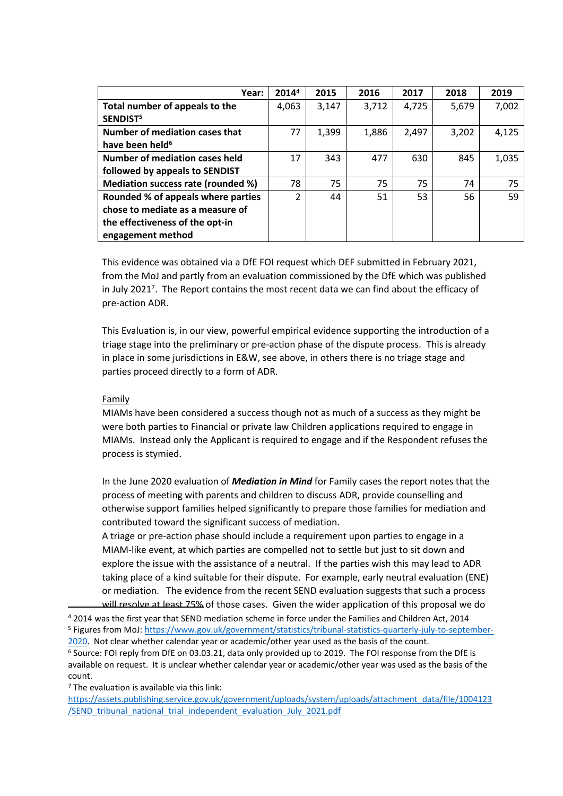| Year:                              | 20144          | 2015  | 2016  | 2017  | 2018  | 2019  |
|------------------------------------|----------------|-------|-------|-------|-------|-------|
| Total number of appeals to the     | 4,063          | 3,147 | 3,712 | 4,725 | 5,679 | 7,002 |
| SENDIST <sup>5</sup>               |                |       |       |       |       |       |
| Number of mediation cases that     | 77             | 1,399 | 1,886 | 2,497 | 3,202 | 4,125 |
| have been held <sup>6</sup>        |                |       |       |       |       |       |
| Number of mediation cases held     | 17             | 343   | 477   | 630   | 845   | 1,035 |
| followed by appeals to SENDIST     |                |       |       |       |       |       |
| Mediation success rate (rounded %) | 78             | 75    | 75    | 75    | 74    | 75    |
| Rounded % of appeals where parties | $\overline{2}$ | 44    | 51    | 53    | 56    | 59    |
| chose to mediate as a measure of   |                |       |       |       |       |       |
| the effectiveness of the opt-in    |                |       |       |       |       |       |
| engagement method                  |                |       |       |       |       |       |

This evidence was obtained via a DfE FOI request which DEF submitted in February 2021, from the MoJ and partly from an evaluation commissioned by the DfE which was published in July 2021<sup>7</sup>. The Report contains the most recent data we can find about the efficacy of pre-action ADR.

This Evaluation is, in our view, powerful empirical evidence supporting the introduction of a triage stage into the preliminary or pre-action phase of the dispute process. This is already in place in some jurisdictions in E&W, see above, in others there is no triage stage and parties proceed directly to a form of ADR.

#### Family

MIAMs have been considered a success though not as much of a success as they might be were both parties to Financial or private law Children applications required to engage in MIAMs. Instead only the Applicant is required to engage and if the Respondent refuses the process is stymied.

In the June 2020 evaluation of *Mediation in Mind* for Family cases the report notes that the process of meeting with parents and children to discuss ADR, provide counselling and otherwise support families helped significantly to prepare those families for mediation and contributed toward the significant success of mediation.

A triage or pre-action phase should include a requirement upon parties to engage in a MIAM-like event, at which parties are compelled not to settle but just to sit down and explore the issue with the assistance of a neutral. If the parties wish this may lead to ADR taking place of a kind suitable for their dispute. For example, early neutral evaluation (ENE) or mediation. The evidence from the recent SEND evaluation suggests that such a process

will resolve at least 75% of those cases. Given the wider application of this proposal we do <sup>4</sup> 2014 was the first year that SEND mediation scheme in force under the Families and Children Act, 2014

<sup>6</sup> Source: FOI reply from DfE on 03.03.21, data only provided up to 2019. The FOI response from the DfE is available on request. It is unclear whether calendar year or academic/other year was used as the basis of the count.

<sup>7</sup> The evaluation is available via this link:

[https://assets.publishing.service.gov.uk/government/uploads/system/uploads/attachment\\_data/file/1004123](https://assets.publishing.service.gov.uk/government/uploads/system/uploads/attachment_data/file/1004123/SEND_tribunal_national_trial_independent_evaluation_July_2021.pdf) [/SEND\\_tribunal\\_national\\_trial\\_independent\\_evaluation\\_July\\_2021.pdf](https://assets.publishing.service.gov.uk/government/uploads/system/uploads/attachment_data/file/1004123/SEND_tribunal_national_trial_independent_evaluation_July_2021.pdf)

<sup>5</sup> Figures from MoJ: [https://www.gov.uk/government/statistics/tribunal-statistics-quarterly-july-to-september-](https://www.gov.uk/government/statistics/tribunal-statistics-quarterly-july-to-september-2020)[2020](https://www.gov.uk/government/statistics/tribunal-statistics-quarterly-july-to-september-2020). Not clear whether calendar year or academic/other year used as the basis of the count.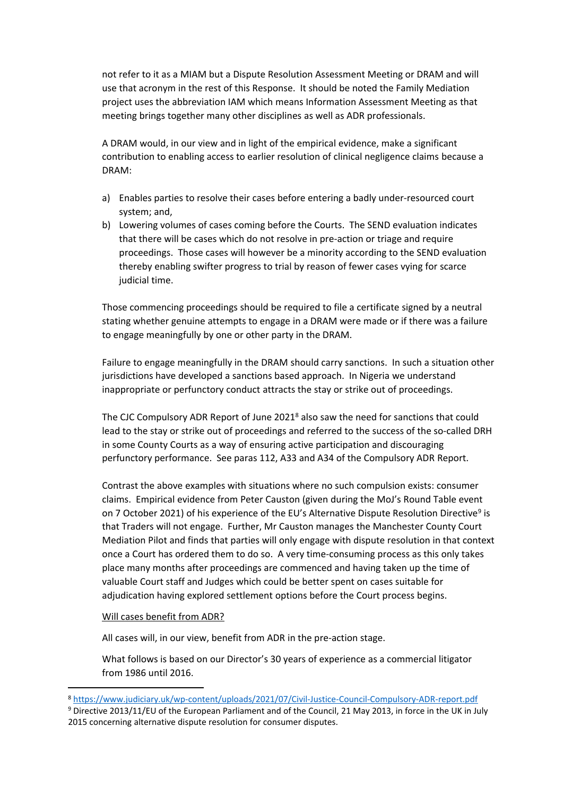not refer to it as a MIAM but a Dispute Resolution Assessment Meeting or DRAM and will use that acronym in the rest of this Response. It should be noted the Family Mediation project uses the abbreviation IAM which means Information Assessment Meeting as that meeting brings together many other disciplines as well as ADR professionals.

A DRAM would, in our view and in light of the empirical evidence, make a significant contribution to enabling access to earlier resolution of clinical negligence claims because a DRAM:

- a) Enables parties to resolve their cases before entering a badly under-resourced court system; and,
- b) Lowering volumes of cases coming before the Courts. The SEND evaluation indicates that there will be cases which do not resolve in pre-action or triage and require proceedings. Those cases will however be a minority according to the SEND evaluation thereby enabling swifter progress to trial by reason of fewer cases vying for scarce judicial time.

Those commencing proceedings should be required to file a certificate signed by a neutral stating whether genuine attempts to engage in a DRAM were made or if there was a failure to engage meaningfully by one or other party in the DRAM.

Failure to engage meaningfully in the DRAM should carry sanctions. In such a situation other jurisdictions have developed a sanctions based approach. In Nigeria we understand inappropriate or perfunctory conduct attracts the stay or strike out of proceedings.

The CJC Compulsory ADR Report of June 2021<sup>8</sup> also saw the need for sanctions that could lead to the stay or strike out of proceedings and referred to the success of the so-called DRH in some County Courts as a way of ensuring active participation and discouraging perfunctory performance. See paras 112, A33 and A34 of the Compulsory ADR Report.

Contrast the above examples with situations where no such compulsion exists: consumer claims. Empirical evidence from Peter Causton (given during the MoJ's Round Table event on 7 October 2021) of his experience of the EU's Alternative Dispute Resolution Directive<sup>9</sup> is that Traders will not engage. Further, Mr Causton manages the Manchester County Court Mediation Pilot and finds that parties will only engage with dispute resolution in that context once a Court has ordered them to do so. A very time-consuming process as this only takes place many months after proceedings are commenced and having taken up the time of valuable Court staff and Judges which could be better spent on cases suitable for adjudication having explored settlement options before the Court process begins.

#### Will cases benefit from ADR?

All cases will, in our view, benefit from ADR in the pre-action stage.

What follows is based on our Director's 30 years of experience as a commercial litigator from 1986 until 2016.

<sup>8</sup> <https://www.judiciary.uk/wp-content/uploads/2021/07/Civil-Justice-Council-Compulsory-ADR-report.pdf>

<sup>9</sup> Directive 2013/11/EU of the European Parliament and of the Council, 21 May 2013, in force in the UK in July 2015 concerning alternative dispute resolution for consumer disputes.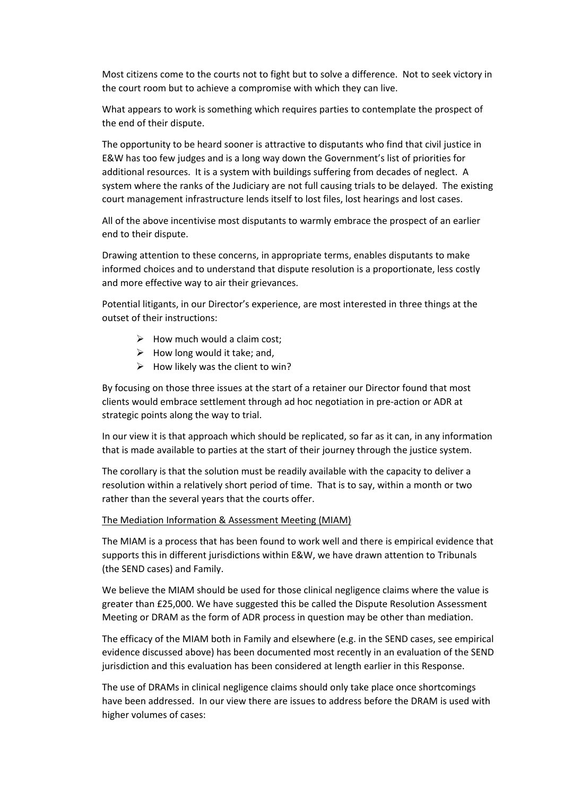Most citizens come to the courts not to fight but to solve a difference. Not to seek victory in the court room but to achieve a compromise with which they can live.

What appears to work is something which requires parties to contemplate the prospect of the end of their dispute.

The opportunity to be heard sooner is attractive to disputants who find that civil justice in E&W has too few judges and is a long way down the Government's list of priorities for additional resources. It is a system with buildings suffering from decades of neglect. A system where the ranks of the Judiciary are not full causing trials to be delayed. The existing court management infrastructure lends itself to lost files, lost hearings and lost cases.

All of the above incentivise most disputants to warmly embrace the prospect of an earlier end to their dispute.

Drawing attention to these concerns, in appropriate terms, enables disputants to make informed choices and to understand that dispute resolution is a proportionate, less costly and more effective way to air their grievances.

Potential litigants, in our Director's experience, are most interested in three things at the outset of their instructions:

- $\triangleright$  How much would a claim cost:
- $\triangleright$  How long would it take; and,
- $\triangleright$  How likely was the client to win?

By focusing on those three issues at the start of a retainer our Director found that most clients would embrace settlement through ad hoc negotiation in pre-action or ADR at strategic points along the way to trial.

In our view it is that approach which should be replicated, so far as it can, in any information that is made available to parties at the start of their journey through the justice system.

The corollary is that the solution must be readily available with the capacity to deliver a resolution within a relatively short period of time. That is to say, within a month or two rather than the several years that the courts offer.

#### The Mediation Information & Assessment Meeting (MIAM)

The MIAM is a process that has been found to work well and there is empirical evidence that supports this in different jurisdictions within E&W, we have drawn attention to Tribunals (the SEND cases) and Family.

We believe the MIAM should be used for those clinical negligence claims where the value is greater than £25,000. We have suggested this be called the Dispute Resolution Assessment Meeting or DRAM as the form of ADR process in question may be other than mediation.

The efficacy of the MIAM both in Family and elsewhere (e.g. in the SEND cases, see empirical evidence discussed above) has been documented most recently in an evaluation of the SEND jurisdiction and this evaluation has been considered at length earlier in this Response.

The use of DRAMs in clinical negligence claims should only take place once shortcomings have been addressed. In our view there are issues to address before the DRAM is used with higher volumes of cases: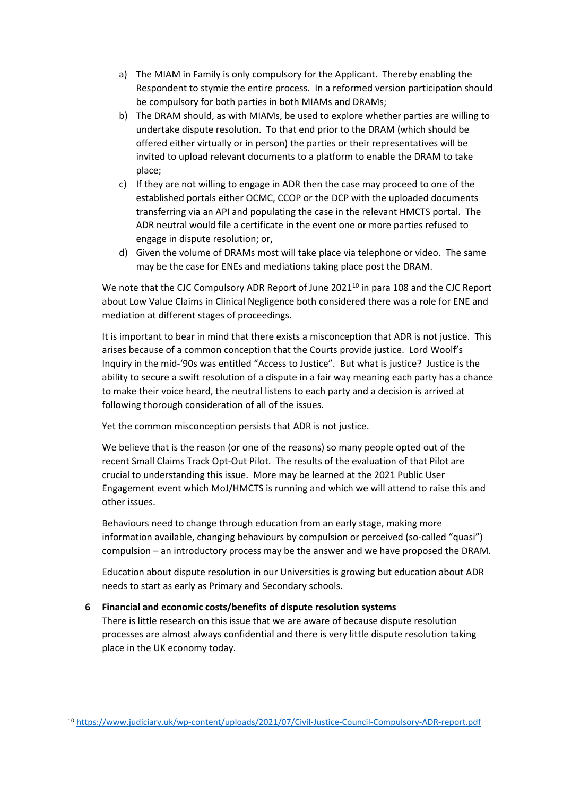- a) The MIAM in Family is only compulsory for the Applicant. Thereby enabling the Respondent to stymie the entire process. In a reformed version participation should be compulsory for both parties in both MIAMs and DRAMs;
- b) The DRAM should, as with MIAMs, be used to explore whether parties are willing to undertake dispute resolution. To that end prior to the DRAM (which should be offered either virtually or in person) the parties or their representatives will be invited to upload relevant documents to a platform to enable the DRAM to take place;
- c) If they are not willing to engage in ADR then the case may proceed to one of the established portals either OCMC, CCOP or the DCP with the uploaded documents transferring via an API and populating the case in the relevant HMCTS portal. The ADR neutral would file a certificate in the event one or more parties refused to engage in dispute resolution; or,
- d) Given the volume of DRAMs most will take place via telephone or video. The same may be the case for ENEs and mediations taking place post the DRAM.

We note that the CJC Compulsory ADR Report of June 2021<sup>10</sup> in para 108 and the CJC Report about Low Value Claims in Clinical Negligence both considered there was a role for ENE and mediation at different stages of proceedings.

It is important to bear in mind that there exists a misconception that ADR is not justice. This arises because of a common conception that the Courts provide justice. Lord Woolf's Inquiry in the mid-'90s was entitled "Access to Justice". But what is justice? Justice is the ability to secure a swift resolution of a dispute in a fair way meaning each party has a chance to make their voice heard, the neutral listens to each party and a decision is arrived at following thorough consideration of all of the issues.

Yet the common misconception persists that ADR is not justice.

We believe that is the reason (or one of the reasons) so many people opted out of the recent Small Claims Track Opt-Out Pilot. The results of the evaluation of that Pilot are crucial to understanding this issue. More may be learned at the 2021 Public User Engagement event which MoJ/HMCTS is running and which we will attend to raise this and other issues.

Behaviours need to change through education from an early stage, making more information available, changing behaviours by compulsion or perceived (so-called "quasi") compulsion – an introductory process may be the answer and we have proposed the DRAM.

Education about dispute resolution in our Universities is growing but education about ADR needs to start as early as Primary and Secondary schools.

# **6 Financial and economic costs/benefits of dispute resolution systems**

There is little research on this issue that we are aware of because dispute resolution processes are almost always confidential and there is very little dispute resolution taking place in the UK economy today.

<sup>10</sup> <https://www.judiciary.uk/wp-content/uploads/2021/07/Civil-Justice-Council-Compulsory-ADR-report.pdf>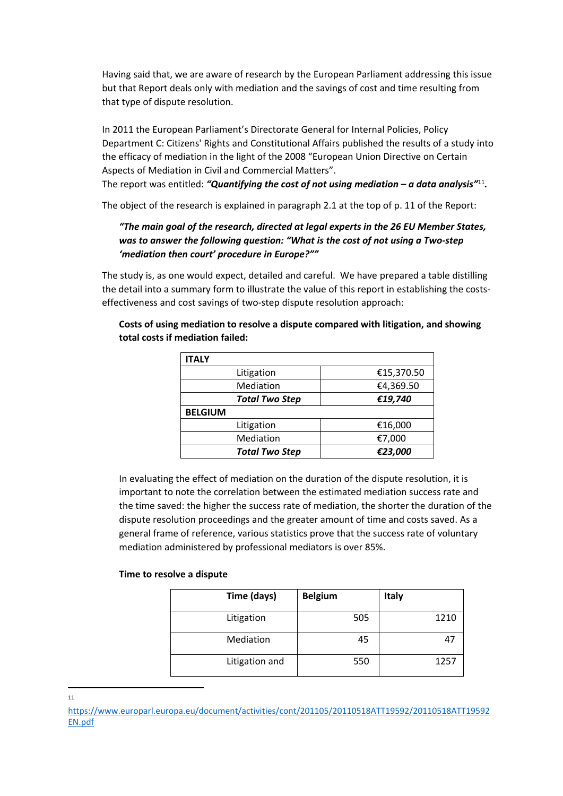Having said that, we are aware of research by the European Parliament addressing this issue but that Report deals only with mediation and the savings of cost and time resulting from that type of dispute resolution.

In 2011 the European Parliament's Directorate General for Internal Policies, Policy Department C: Citizens' Rights and Constitutional Affairs published the results of a study into the efficacy of mediation in the light of the 2008 "European Union Directive on Certain Aspects of Mediation in Civil and Commercial Matters".

The report was entitled: *"Quantifying the cost of not using mediation – a data analysis"*<sup>11</sup> *.*

The object of the research is explained in paragraph 2.1 at the top of p. 11 of the Report:

# *"The main goal of the research, directed at legal experts in the 26 EU Member States, was to answer the following question: "What is the cost of not using a Two-step 'mediation then court' procedure in Europe?""*

The study is, as one would expect, detailed and careful. We have prepared a table distilling the detail into a summary form to illustrate the value of this report in establishing the costseffectiveness and cost savings of two-step dispute resolution approach:

| <b>ITALY</b>          |            |
|-----------------------|------------|
| Litigation            | €15,370.50 |
| Mediation             | €4,369.50  |
| <b>Total Two Step</b> | €19,740    |
| <b>BELGIUM</b>        |            |
| Litigation            | €16,000    |
| Mediation             | €7,000     |
| <b>Total Two Step</b> | €23,000    |

### **Costs of using mediation to resolve a dispute compared with litigation, and showing total costs if mediation failed:**

In evaluating the effect of mediation on the duration of the dispute resolution, it is important to note the correlation between the estimated mediation success rate and the time saved: the higher the success rate of mediation, the shorter the duration of the dispute resolution proceedings and the greater amount of time and costs saved. As a general frame of reference, various statistics prove that the success rate of voluntary mediation administered by professional mediators is over 85%.

#### **Time to resolve a dispute**

| Time (days)    | <b>Belgium</b> | <b>Italy</b> |
|----------------|----------------|--------------|
| Litigation     | 505            | 1210         |
| Mediation      | 45             |              |
| Litigation and | 550            | 1257         |

11

[https://www.europarl.europa.eu/document/activities/cont/201105/20110518ATT19592/20110518ATT19592](https://www.europarl.europa.eu/document/activities/cont/201105/20110518ATT19592/20110518ATT19592EN.pdf) [EN.pdf](https://www.europarl.europa.eu/document/activities/cont/201105/20110518ATT19592/20110518ATT19592EN.pdf)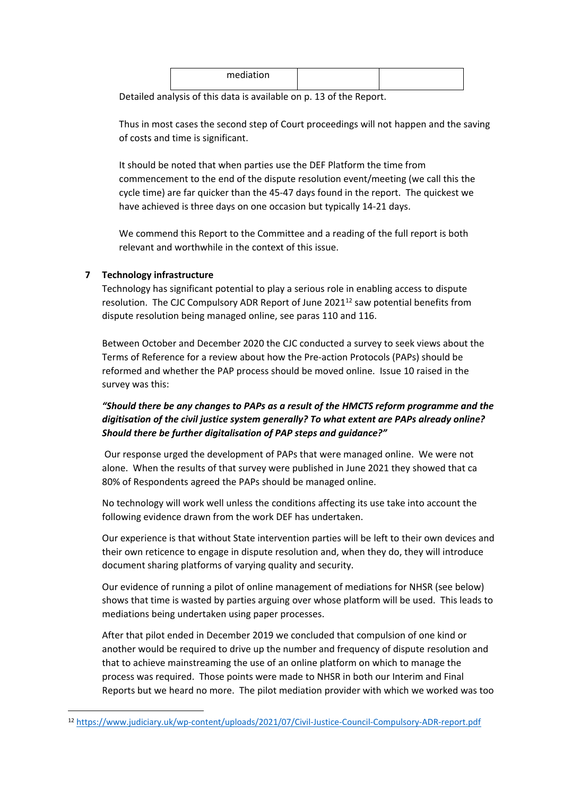| mediation |  |
|-----------|--|
|           |  |

Detailed analysis of this data is available on p. 13 of the Report.

Thus in most cases the second step of Court proceedings will not happen and the saving of costs and time is significant.

It should be noted that when parties use the DEF Platform the time from commencement to the end of the dispute resolution event/meeting (we call this the cycle time) are far quicker than the 45-47 days found in the report. The quickest we have achieved is three days on one occasion but typically 14-21 days.

We commend this Report to the Committee and a reading of the full report is both relevant and worthwhile in the context of this issue.

### **7 Technology infrastructure**

Technology has significant potential to play a serious role in enabling access to dispute resolution. The CJC Compulsory ADR Report of June  $2021^{12}$  saw potential benefits from dispute resolution being managed online, see paras 110 and 116.

Between October and December 2020 the CJC conducted a survey to seek views about the Terms of Reference for a review about how the Pre-action Protocols (PAPs) should be reformed and whether the PAP process should be moved online. Issue 10 raised in the survey was this:

# *"Should there be any changes to PAPs as a result of the HMCTS reform programme and the digitisation of the civil justice system generally? To what extent are PAPs already online? Should there be further digitalisation of PAP steps and guidance?"*

Our response urged the development of PAPs that were managed online. We were not alone. When the results of that survey were published in June 2021 they showed that ca 80% of Respondents agreed the PAPs should be managed online.

No technology will work well unless the conditions affecting its use take into account the following evidence drawn from the work DEF has undertaken.

Our experience is that without State intervention parties will be left to their own devices and their own reticence to engage in dispute resolution and, when they do, they will introduce document sharing platforms of varying quality and security.

Our evidence of running a pilot of online management of mediations for NHSR (see below) shows that time is wasted by parties arguing over whose platform will be used. This leads to mediations being undertaken using paper processes.

After that pilot ended in December 2019 we concluded that compulsion of one kind or another would be required to drive up the number and frequency of dispute resolution and that to achieve mainstreaming the use of an online platform on which to manage the process was required. Those points were made to NHSR in both our Interim and Final Reports but we heard no more. The pilot mediation provider with which we worked was too

<sup>12</sup> <https://www.judiciary.uk/wp-content/uploads/2021/07/Civil-Justice-Council-Compulsory-ADR-report.pdf>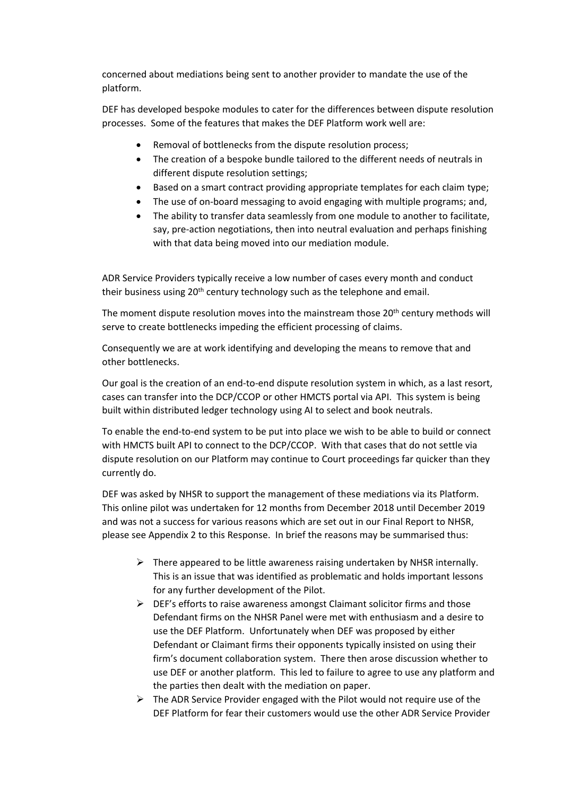concerned about mediations being sent to another provider to mandate the use of the platform.

DEF has developed bespoke modules to cater for the differences between dispute resolution processes. Some of the features that makes the DEF Platform work well are:

- Removal of bottlenecks from the dispute resolution process;
- The creation of a bespoke bundle tailored to the different needs of neutrals in different dispute resolution settings;
- Based on a smart contract providing appropriate templates for each claim type;
- The use of on-board messaging to avoid engaging with multiple programs; and,
- The ability to transfer data seamlessly from one module to another to facilitate, say, pre-action negotiations, then into neutral evaluation and perhaps finishing with that data being moved into our mediation module.

ADR Service Providers typically receive a low number of cases every month and conduct their business using 20<sup>th</sup> century technology such as the telephone and email.

The moment dispute resolution moves into the mainstream those  $20<sup>th</sup>$  century methods will serve to create bottlenecks impeding the efficient processing of claims.

Consequently we are at work identifying and developing the means to remove that and other bottlenecks.

Our goal is the creation of an end-to-end dispute resolution system in which, as a last resort, cases can transfer into the DCP/CCOP or other HMCTS portal via API. This system is being built within distributed ledger technology using AI to select and book neutrals.

To enable the end-to-end system to be put into place we wish to be able to build or connect with HMCTS built API to connect to the DCP/CCOP. With that cases that do not settle via dispute resolution on our Platform may continue to Court proceedings far quicker than they currently do.

DEF was asked by NHSR to support the management of these mediations via its Platform. This online pilot was undertaken for 12 months from December 2018 until December 2019 and was not a success for various reasons which are set out in our Final Report to NHSR, please see Appendix 2 to this Response. In brief the reasons may be summarised thus:

- $\triangleright$  There appeared to be little awareness raising undertaken by NHSR internally. This is an issue that was identified as problematic and holds important lessons for any further development of the Pilot.
- $\triangleright$  DEF's efforts to raise awareness amongst Claimant solicitor firms and those Defendant firms on the NHSR Panel were met with enthusiasm and a desire to use the DEF Platform. Unfortunately when DEF was proposed by either Defendant or Claimant firms their opponents typically insisted on using their firm's document collaboration system. There then arose discussion whether to use DEF or another platform. This led to failure to agree to use any platform and the parties then dealt with the mediation on paper.
- $\triangleright$  The ADR Service Provider engaged with the Pilot would not require use of the DEF Platform for fear their customers would use the other ADR Service Provider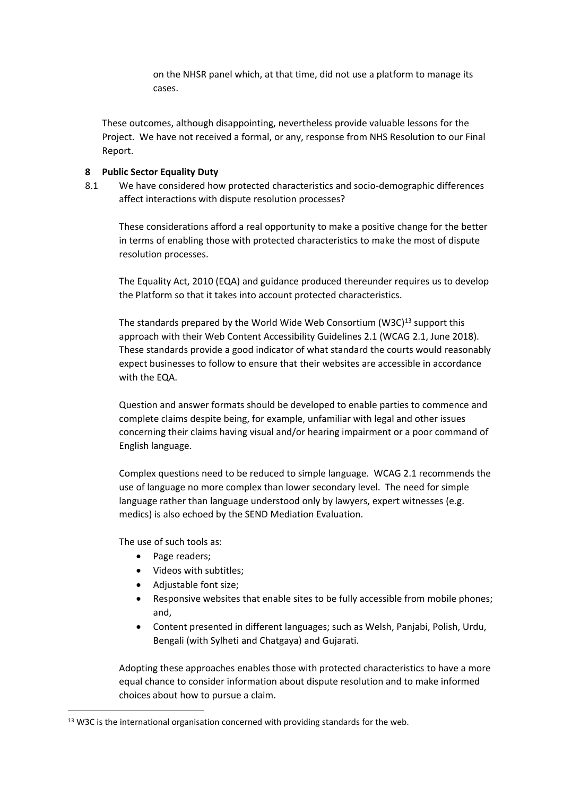on the NHSR panel which, at that time, did not use a platform to manage its cases.

These outcomes, although disappointing, nevertheless provide valuable lessons for the Project. We have not received a formal, or any, response from NHS Resolution to our Final Report.

### **8 Public Sector Equality Duty**

8.1 We have considered how protected characteristics and socio-demographic differences affect interactions with dispute resolution processes?

These considerations afford a real opportunity to make a positive change for the better in terms of enabling those with protected characteristics to make the most of dispute resolution processes.

The Equality Act, 2010 (EQA) and guidance produced thereunder requires us to develop the Platform so that it takes into account protected characteristics.

The standards prepared by the World Wide Web Consortium (W3C)<sup>13</sup> support this approach with their Web Content Accessibility Guidelines 2.1 (WCAG 2.1, June 2018). These standards provide a good indicator of what standard the courts would reasonably expect businesses to follow to ensure that their websites are accessible in accordance with the EQA.

Question and answer formats should be developed to enable parties to commence and complete claims despite being, for example, unfamiliar with legal and other issues concerning their claims having visual and/or hearing impairment or a poor command of English language.

Complex questions need to be reduced to simple language. WCAG 2.1 recommends the use of language no more complex than lower secondary level. The need for simple language rather than language understood only by lawyers, expert witnesses (e.g. medics) is also echoed by the SEND Mediation Evaluation.

The use of such tools as:

- Page readers:
- Videos with subtitles:
- Adjustable font size;
- Responsive websites that enable sites to be fully accessible from mobile phones; and,
- Content presented in different languages; such as Welsh, Panjabi, Polish, Urdu, Bengali (with Sylheti and Chatgaya) and Gujarati.

Adopting these approaches enables those with protected characteristics to have a more equal chance to consider information about dispute resolution and to make informed choices about how to pursue a claim.

<sup>&</sup>lt;sup>13</sup> W3C is the international organisation concerned with providing standards for the web.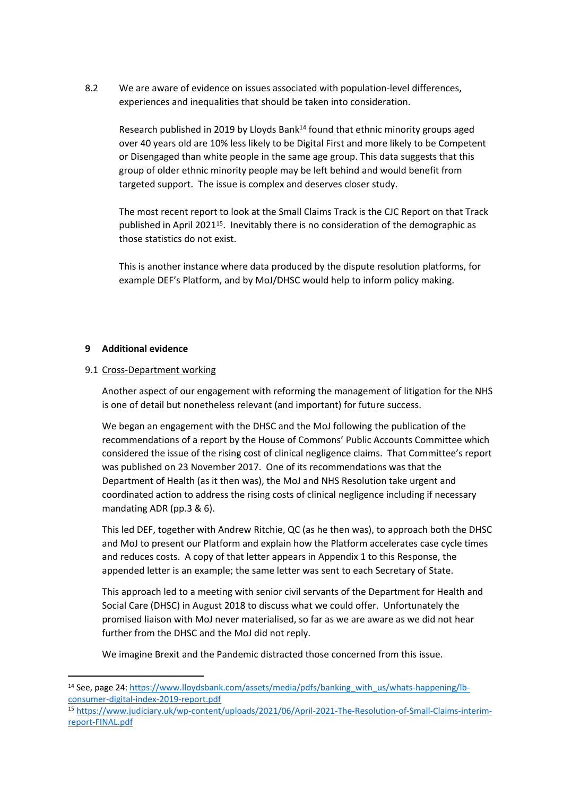8.2 We are aware of evidence on issues associated with population-level differences, experiences and inequalities that should be taken into consideration.

Research published in 2019 by Lloyds Bank $^{14}$  found that ethnic minority groups aged over 40 years old are 10% less likely to be Digital First and more likely to be Competent or Disengaged than white people in the same age group. This data suggests that this group of older ethnic minority people may be left behind and would benefit from targeted support. The issue is complex and deserves closer study.

The most recent report to look at the Small Claims Track is the CJC Report on that Track published in April 2021<sup>15</sup>. Inevitably there is no consideration of the demographic as those statistics do not exist.

This is another instance where data produced by the dispute resolution platforms, for example DEF's Platform, and by MoJ/DHSC would help to inform policy making.

#### **9 Additional evidence**

#### 9.1 Cross-Department working

Another aspect of our engagement with reforming the management of litigation for the NHS is one of detail but nonetheless relevant (and important) for future success.

We began an engagement with the DHSC and the MoJ following the publication of the recommendations of a report by the House of Commons' Public Accounts Committee which considered the issue of the rising cost of clinical negligence claims. That Committee's report was published on 23 November 2017. One of its recommendations was that the Department of Health (as it then was), the MoJ and NHS Resolution take urgent and coordinated action to address the rising costs of clinical negligence including if necessary mandating ADR (pp.3 & 6).

This led DEF, together with Andrew Ritchie, QC (as he then was), to approach both the DHSC and MoJ to present our Platform and explain how the Platform accelerates case cycle times and reduces costs. A copy of that letter appears in Appendix 1 to this Response, the appended letter is an example; the same letter was sent to each Secretary of State.

This approach led to a meeting with senior civil servants of the Department for Health and Social Care (DHSC) in August 2018 to discuss what we could offer. Unfortunately the promised liaison with MoJ never materialised, so far as we are aware as we did not hear further from the DHSC and the MoJ did not reply.

We imagine Brexit and the Pandemic distracted those concerned from this issue.

<sup>&</sup>lt;sup>14</sup> See, page 24: [https://www.lloydsbank.com/assets/media/pdfs/banking\\_with\\_us/whats-happening/lb](https://www.lloydsbank.com/assets/media/pdfs/banking_with_us/whats-happening/lb-consumer-digital-index-2019-report.pdf)[consumer-digital-index-2019-report.pdf](https://www.lloydsbank.com/assets/media/pdfs/banking_with_us/whats-happening/lb-consumer-digital-index-2019-report.pdf)

<sup>15</sup> [https://www.judiciary.uk/wp-content/uploads/2021/06/April-2021-The-Resolution-of-Small-Claims-interim](https://www.judiciary.uk/wp-content/uploads/2021/06/April-2021-The-Resolution-of-Small-Claims-interim-report-FINAL.pdf)[report-FINAL.pdf](https://www.judiciary.uk/wp-content/uploads/2021/06/April-2021-The-Resolution-of-Small-Claims-interim-report-FINAL.pdf)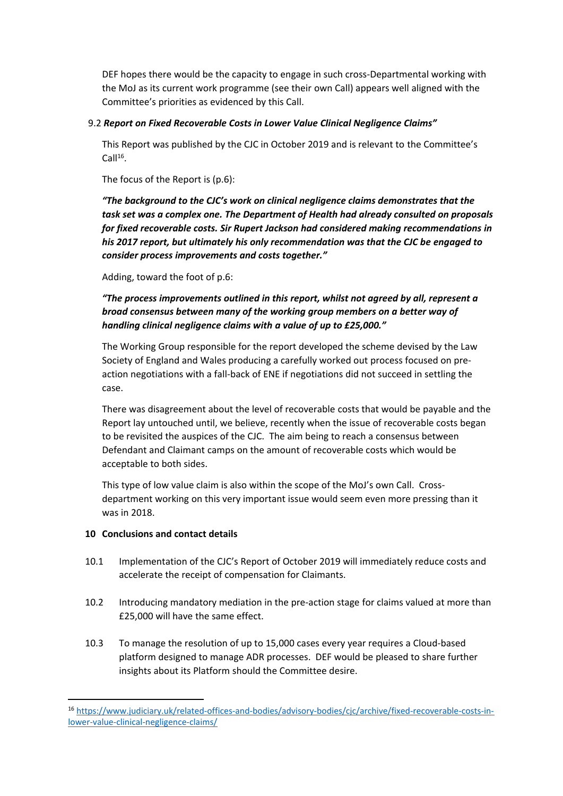DEF hopes there would be the capacity to engage in such cross-Departmental working with the MoJ as its current work programme (see their own Call) appears well aligned with the Committee's priorities as evidenced by this Call.

### 9.2 *Report on Fixed Recoverable Costs in Lower Value Clinical Negligence Claims"*

This Report was published by the CJC in October 2019 and is relevant to the Committee's  $Call<sup>16</sup>$ .

The focus of the Report is (p.6):

*"The background to the CJC's work on clinical negligence claims demonstrates that the task set was a complex one. The Department of Health had already consulted on proposals for fixed recoverable costs. Sir Rupert Jackson had considered making recommendations in his 2017 report, but ultimately his only recommendation was that the CJC be engaged to consider process improvements and costs together."*

Adding, toward the foot of p.6:

*"The process improvements outlined in this report, whilst not agreed by all, represent a broad consensus between many of the working group members on a better way of handling clinical negligence claims with a value of up to £25,000."*

The Working Group responsible for the report developed the scheme devised by the Law Society of England and Wales producing a carefully worked out process focused on preaction negotiations with a fall-back of ENE if negotiations did not succeed in settling the case.

There was disagreement about the level of recoverable costs that would be payable and the Report lay untouched until, we believe, recently when the issue of recoverable costs began to be revisited the auspices of the CJC. The aim being to reach a consensus between Defendant and Claimant camps on the amount of recoverable costs which would be acceptable to both sides.

This type of low value claim is also within the scope of the MoJ's own Call. Crossdepartment working on this very important issue would seem even more pressing than it was in 2018.

# **10 Conclusions and contact details**

- 10.1 Implementation of the CJC's Report of October 2019 will immediately reduce costs and accelerate the receipt of compensation for Claimants.
- 10.2 Introducing mandatory mediation in the pre-action stage for claims valued at more than £25,000 will have the same effect.
- 10.3 To manage the resolution of up to 15,000 cases every year requires a Cloud-based platform designed to manage ADR processes. DEF would be pleased to share further insights about its Platform should the Committee desire.

<sup>16</sup> [https://www.judiciary.uk/related-offices-and-bodies/advisory-bodies/cjc/archive/fixed-recoverable-costs-in](https://www.judiciary.uk/related-offices-and-bodies/advisory-bodies/cjc/archive/fixed-recoverable-costs-in-lower-value-clinical-negligence-claims/)[lower-value-clinical-negligence-claims/](https://www.judiciary.uk/related-offices-and-bodies/advisory-bodies/cjc/archive/fixed-recoverable-costs-in-lower-value-clinical-negligence-claims/)